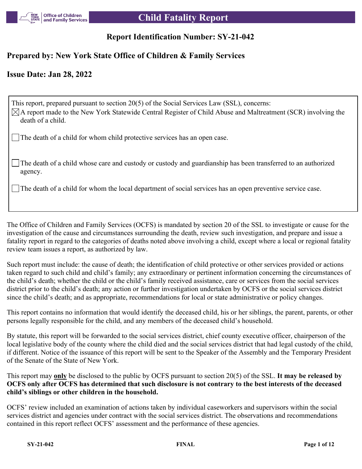

### **Report Identification Number: SY-21-042**

### **Prepared by: New York State Office of Children & Family Services**

### **Issue Date: Jan 28, 2022**

This report, prepared pursuant to section 20(5) of the Social Services Law (SSL), concerns:  $\boxtimes$ A report made to the New York Statewide Central Register of Child Abuse and Maltreatment (SCR) involving the death of a child. The death of a child for whom child protective services has an open case.

The death of a child whose care and custody or custody and guardianship has been transferred to an authorized agency.

The death of a child for whom the local department of social services has an open preventive service case.

The Office of Children and Family Services (OCFS) is mandated by section 20 of the SSL to investigate or cause for the investigation of the cause and circumstances surrounding the death, review such investigation, and prepare and issue a fatality report in regard to the categories of deaths noted above involving a child, except where a local or regional fatality review team issues a report, as authorized by law.

Such report must include: the cause of death; the identification of child protective or other services provided or actions taken regard to such child and child's family; any extraordinary or pertinent information concerning the circumstances of the child's death; whether the child or the child's family received assistance, care or services from the social services district prior to the child's death; any action or further investigation undertaken by OCFS or the social services district since the child's death; and as appropriate, recommendations for local or state administrative or policy changes.

This report contains no information that would identify the deceased child, his or her siblings, the parent, parents, or other persons legally responsible for the child, and any members of the deceased child's household.

By statute, this report will be forwarded to the social services district, chief county executive officer, chairperson of the local legislative body of the county where the child died and the social services district that had legal custody of the child, if different. Notice of the issuance of this report will be sent to the Speaker of the Assembly and the Temporary President of the Senate of the State of New York.

This report may **only** be disclosed to the public by OCFS pursuant to section 20(5) of the SSL. **It may be released by OCFS only after OCFS has determined that such disclosure is not contrary to the best interests of the deceased child's siblings or other children in the household.**

OCFS' review included an examination of actions taken by individual caseworkers and supervisors within the social services district and agencies under contract with the social services district. The observations and recommendations contained in this report reflect OCFS' assessment and the performance of these agencies.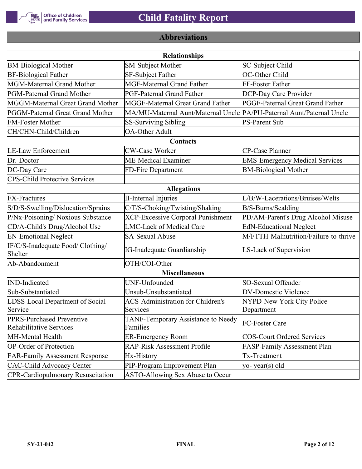

# **Abbreviations**

| <b>Relationships</b>                                 |                                                                       |                                       |  |  |  |  |
|------------------------------------------------------|-----------------------------------------------------------------------|---------------------------------------|--|--|--|--|
| <b>BM-Biological Mother</b>                          | <b>SM-Subject Mother</b>                                              | SC-Subject Child                      |  |  |  |  |
| <b>BF-Biological Father</b>                          | SF-Subject Father                                                     | OC-Other Child                        |  |  |  |  |
| MGM-Maternal Grand Mother                            | <b>MGF-Maternal Grand Father</b>                                      | FF-Foster Father                      |  |  |  |  |
| PGM-Paternal Grand Mother                            | PGF-Paternal Grand Father                                             | DCP-Day Care Provider                 |  |  |  |  |
| MGGM-Maternal Great Grand Mother                     | MGGF-Maternal Great Grand Father                                      | PGGF-Paternal Great Grand Father      |  |  |  |  |
| PGGM-Paternal Great Grand Mother                     | MA/MU-Maternal Aunt/Maternal Uncle PA/PU-Paternal Aunt/Paternal Uncle |                                       |  |  |  |  |
| <b>FM-Foster Mother</b>                              | <b>SS-Surviving Sibling</b>                                           | <b>PS-Parent Sub</b>                  |  |  |  |  |
| CH/CHN-Child/Children                                | <b>OA-Other Adult</b>                                                 |                                       |  |  |  |  |
|                                                      | Contacts                                                              |                                       |  |  |  |  |
| <b>LE-Law Enforcement</b>                            | <b>CW-Case Worker</b>                                                 | CP-Case Planner                       |  |  |  |  |
| Dr.-Doctor                                           | ME-Medical Examiner                                                   | <b>EMS-Emergency Medical Services</b> |  |  |  |  |
| DC-Day Care                                          | FD-Fire Department                                                    | <b>BM-Biological Mother</b>           |  |  |  |  |
| <b>CPS-Child Protective Services</b>                 |                                                                       |                                       |  |  |  |  |
|                                                      | <b>Allegations</b>                                                    |                                       |  |  |  |  |
| <b>FX-Fractures</b>                                  | <b>II-Internal Injuries</b>                                           | L/B/W-Lacerations/Bruises/Welts       |  |  |  |  |
| S/D/S-Swelling/Dislocation/Sprains                   | C/T/S-Choking/Twisting/Shaking                                        | B/S-Burns/Scalding                    |  |  |  |  |
| P/Nx-Poisoning/ Noxious Substance                    | <b>XCP-Excessive Corporal Punishment</b>                              | PD/AM-Parent's Drug Alcohol Misuse    |  |  |  |  |
| CD/A-Child's Drug/Alcohol Use                        | <b>LMC-Lack of Medical Care</b>                                       | <b>EdN-Educational Neglect</b>        |  |  |  |  |
| <b>EN-Emotional Neglect</b>                          | <b>SA-Sexual Abuse</b>                                                | M/FTTH-Malnutrition/Failure-to-thrive |  |  |  |  |
| IF/C/S-Inadequate Food/ Clothing/<br>Shelter         | <b>IG-Inadequate Guardianship</b>                                     | LS-Lack of Supervision                |  |  |  |  |
| Ab-Abandonment                                       | OTH/COI-Other                                                         |                                       |  |  |  |  |
|                                                      | <b>Miscellaneous</b>                                                  |                                       |  |  |  |  |
| <b>IND-Indicated</b>                                 | UNF-Unfounded                                                         | SO-Sexual Offender                    |  |  |  |  |
| Sub-Substantiated                                    | Unsub-Unsubstantiated                                                 | <b>DV-Domestic Violence</b>           |  |  |  |  |
| LDSS-Local Department of Social                      | <b>ACS-Administration for Children's</b>                              | NYPD-New York City Police             |  |  |  |  |
| Service                                              | Services                                                              | Department                            |  |  |  |  |
| PPRS-Purchased Preventive<br>Rehabilitative Services | TANF-Temporary Assistance to Needy<br>Families                        | FC-Foster Care                        |  |  |  |  |
| MH-Mental Health                                     | <b>ER-Emergency Room</b>                                              | <b>COS-Court Ordered Services</b>     |  |  |  |  |
| <b>OP-Order of Protection</b>                        | <b>RAP-Risk Assessment Profile</b>                                    | FASP-Family Assessment Plan           |  |  |  |  |
| <b>FAR-Family Assessment Response</b>                | Hx-History                                                            | Tx-Treatment                          |  |  |  |  |
| <b>CAC-Child Advocacy Center</b>                     | PIP-Program Improvement Plan                                          | yo-year(s) old                        |  |  |  |  |
| <b>CPR-Cardiopulmonary Resuscitation</b>             | ASTO-Allowing Sex Abuse to Occur                                      |                                       |  |  |  |  |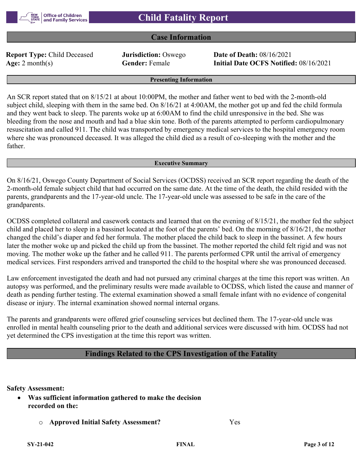### **Case Information**

**Report Type:** Child Deceased **Jurisdiction:** Oswego **Date of Death:** 08/16/2021

**Age:** 2 month(s) **Gender:** Female **Initial Date OCFS Notified:** 08/16/2021

### **Presenting Information**

An SCR report stated that on 8/15/21 at about 10:00PM, the mother and father went to bed with the 2-month-old subject child, sleeping with them in the same bed. On 8/16/21 at 4:00AM, the mother got up and fed the child formula and they went back to sleep. The parents woke up at 6:00AM to find the child unresponsive in the bed. She was bleeding from the nose and mouth and had a blue skin tone. Both of the parents attempted to perform cardiopulmonary resuscitation and called 911. The child was transported by emergency medical services to the hospital emergency room where she was pronounced deceased. It was alleged the child died as a result of co-sleeping with the mother and the father.

#### **Executive Summary**

On 8/16/21, Oswego County Department of Social Services (OCDSS) received an SCR report regarding the death of the 2-month-old female subject child that had occurred on the same date. At the time of the death, the child resided with the parents, grandparents and the 17-year-old uncle. The 17-year-old uncle was assessed to be safe in the care of the grandparents.

OCDSS completed collateral and casework contacts and learned that on the evening of 8/15/21, the mother fed the subject child and placed her to sleep in a bassinet located at the foot of the parents' bed. On the morning of 8/16/21, the mother changed the child's diaper and fed her formula. The mother placed the child back to sleep in the bassinet. A few hours later the mother woke up and picked the child up from the bassinet. The mother reported the child felt rigid and was not moving. The mother woke up the father and he called 911. The parents performed CPR until the arrival of emergency medical services. First responders arrived and transported the child to the hospital where she was pronounced deceased.

Law enforcement investigated the death and had not pursued any criminal charges at the time this report was written. An autopsy was performed, and the preliminary results were made available to OCDSS, which listed the cause and manner of death as pending further testing. The external examination showed a small female infant with no evidence of congenital disease or injury. The internal examination showed normal internal organs.

The parents and grandparents were offered grief counseling services but declined them. The 17-year-old uncle was enrolled in mental health counseling prior to the death and additional services were discussed with him. OCDSS had not yet determined the CPS investigation at the time this report was written.

### **Findings Related to the CPS Investigation of the Fatality**

### **Safety Assessment:**

- **Was sufficient information gathered to make the decision recorded on the:**
	- o **Approved Initial Safety Assessment?** Yes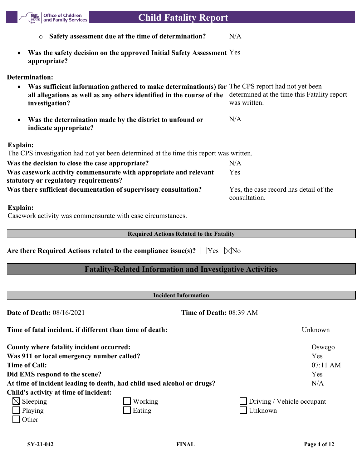

Casework activity was commensurate with case circumstances.

**Required Actions Related to the Fatality**

**Are there Required Actions related to the compliance issue(s)?**  $\Box$  Yes  $\Box$  No

### **Fatality-Related Information and Investigative Activities**

|                                           | <b>Incident Information</b>                                            |                            |
|-------------------------------------------|------------------------------------------------------------------------|----------------------------|
| <b>Date of Death: 08/16/2021</b>          | Time of Death: 08:39 AM                                                |                            |
|                                           | Time of fatal incident, if different than time of death:               | Unknown                    |
| County where fatality incident occurred:  |                                                                        | Oswego                     |
| Was 911 or local emergency number called? |                                                                        | Yes                        |
| <b>Time of Call:</b>                      |                                                                        | $07:11$ AM                 |
| Did EMS respond to the scene?             |                                                                        | Yes                        |
|                                           | At time of incident leading to death, had child used alcohol or drugs? | N/A                        |
| Child's activity at time of incident:     |                                                                        |                            |
| $\boxtimes$ Sleeping                      | Working                                                                | Driving / Vehicle occupant |
| Playing                                   | Eating                                                                 | Unknown                    |
| Other                                     |                                                                        |                            |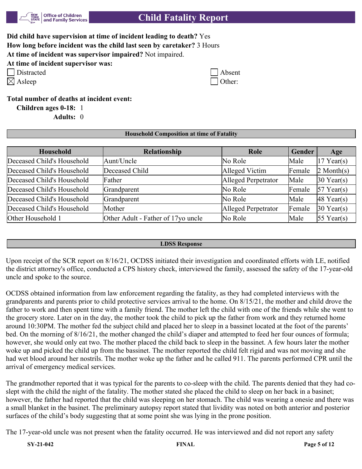

| Did child have supervision at time of incident leading to death? Yes                     |
|------------------------------------------------------------------------------------------|
| How long before incident was the child last seen by caretaker? 3 Hours                   |
| At time of incident was supervisor impaired? Not impaired.<br>$\cdots$ $\cdots$ $\cdots$ |

|  |  |  |  |  | At time of incident supervisor was: |  |  |
|--|--|--|--|--|-------------------------------------|--|--|
|--|--|--|--|--|-------------------------------------|--|--|

| Distracted | Absent |
|------------|--------|
|------------|--------|

| Asleep |  |  |  |
|--------|--|--|--|
|--------|--|--|--|

| Distracted | $\Box$ Absent |
|------------|---------------|
| Asleep     | $\Box$ Other: |

**Total number of deaths at incident event:**

**Children ages 0-18:** 1 **Adults:** 0

### **Household Composition at time of Fatality**

| Household                  | Relationship                       | Role                | Gender | Age                    |
|----------------------------|------------------------------------|---------------------|--------|------------------------|
| Deceased Child's Household | Aunt/Uncle                         | No Role             | Male   | $17$ Year(s)           |
| Deceased Child's Household | Deceased Child                     | Alleged Victim      | Female | $2$ Month(s)           |
| Deceased Child's Household | Father                             | Alleged Perpetrator | Male   | $30$ Year(s)           |
| Deceased Child's Household | Grandparent                        | No Role             | Female | $57$ Year(s)           |
| Deceased Child's Household | Grandparent                        | No Role             | Male   | $ 48 \text{ Year}(s) $ |
| Deceased Child's Household | Mother                             | Alleged Perpetrator | Female | $30$ Year(s)           |
| Other Household 1          | Other Adult - Father of 17yo uncle | No Role             | Male   | $ 55 \text{ Year}(s) $ |

### **LDSS Response**

Upon receipt of the SCR report on 8/16/21, OCDSS initiated their investigation and coordinated efforts with LE, notified the district attorney's office, conducted a CPS history check, interviewed the family, assessed the safety of the 17-year-old uncle and spoke to the source.

OCDSS obtained information from law enforcement regarding the fatality, as they had completed interviews with the grandparents and parents prior to child protective services arrival to the home. On 8/15/21, the mother and child drove the father to work and then spent time with a family friend. The mother left the child with one of the friends while she went to the grocery store. Later on in the day, the mother took the child to pick up the father from work and they returned home around 10:30PM. The mother fed the subject child and placed her to sleep in a bassinet located at the foot of the parents' bed. On the morning of 8/16/21, the mother changed the child's diaper and attempted to feed her four ounces of formula; however, she would only eat two. The mother placed the child back to sleep in the bassinet. A few hours later the mother woke up and picked the child up from the bassinet. The mother reported the child felt rigid and was not moving and she had wet blood around her nostrils. The mother woke up the father and he called 911. The parents performed CPR until the arrival of emergency medical services.

The grandmother reported that it was typical for the parents to co-sleep with the child. The parents denied that they had coslept with the child the night of the fatality. The mother stated she placed the child to sleep on her back in a basinet; however, the father had reported that the child was sleeping on her stomach. The child was wearing a onesie and there was a small blanket in the basinet. The preliminary autopsy report stated that lividity was noted on both anterior and posterior surfaces of the child's body suggesting that at some point she was lying in the prone position.

The 17-year-old uncle was not present when the fatality occurred. He was interviewed and did not report any safety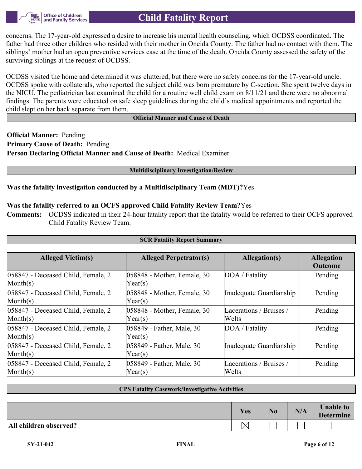

concerns. The 17-year-old expressed a desire to increase his mental health counseling, which OCDSS coordinated. The father had three other children who resided with their mother in Oneida County. The father had no contact with them. The siblings' mother had an open preventive services case at the time of the death. Oneida County assessed the safety of the surviving siblings at the request of OCDSS.

OCDSS visited the home and determined it was cluttered, but there were no safety concerns for the 17-year-old uncle. OCDSS spoke with collaterals, who reported the subject child was born premature by C-section. She spent twelve days in the NICU. The pediatrician last examined the child for a routine well child exam on 8/11/21 and there were no abnormal findings. The parents were educated on safe sleep guidelines during the child's medical appointments and reported the child slept on her back separate from them.

### **Official Manner and Cause of Death**

**Official Manner:** Pending **Primary Cause of Death:** Pending **Person Declaring Official Manner and Cause of Death:** Medical Examiner

### **Multidisciplinary Investigation/Review**

### **Was the fatality investigation conducted by a Multidisciplinary Team (MDT)?**Yes

### **Was the fatality referred to an OCFS approved Child Fatality Review Team?**Yes

**Comments:** OCDSS indicated in their 24-hour fatality report that the fatality would be referred to their OCFS approved Child Fatality Review Team.

| <b>SCR Fatality Report Summary</b>                                 |                                        |                                  |                                     |  |  |  |
|--------------------------------------------------------------------|----------------------------------------|----------------------------------|-------------------------------------|--|--|--|
|                                                                    |                                        |                                  |                                     |  |  |  |
| <b>Alleged Victim(s)</b>                                           | <b>Alleged Perpetrator(s)</b>          | Allegation(s)                    | <b>Allegation</b><br><b>Outcome</b> |  |  |  |
| 058847 - Deceased Child, Female, 2<br>$\mathbf{Month}(s)$          | 058848 - Mother, Female, 30<br>Year(s) | DOA / Fatality                   | Pending                             |  |  |  |
| 058847 - Deceased Child, Female, 2<br>$\mathbf{Month}(\mathbf{s})$ | 058848 - Mother, Female, 30<br>Year(s) | Inadequate Guardianship          | Pending                             |  |  |  |
| 058847 - Deceased Child, Female, 2<br>$\mathbf{Month}(\mathbf{s})$ | 058848 - Mother, Female, 30<br>Year(s) | Lacerations / Bruises /<br>Welts | Pending                             |  |  |  |
| 058847 - Deceased Child, Female, 2<br>$\text{Month}(s)$            | 058849 - Father, Male, 30<br>Year(s)   | DOA / Fatality                   | Pending                             |  |  |  |
| 058847 - Deceased Child, Female, 2<br>$\mathbf{Month}(\mathbf{s})$ | 058849 - Father, Male, 30<br>Year(s)   | Inadequate Guardianship          | Pending                             |  |  |  |
| 058847 - Deceased Child, Female, 2<br>$\mathbf{Month}(s)$          | 058849 - Father, Male, 30<br>Year(s)   | Lacerations / Bruises /<br>Welts | Pending                             |  |  |  |

### **CPS Fatality Casework/Investigative Activities**

|                        | <b>Yes</b> | N <sub>0</sub> | N/A | <b>Unable to</b><br><b>Determine</b> |
|------------------------|------------|----------------|-----|--------------------------------------|
| All children observed? |            |                |     |                                      |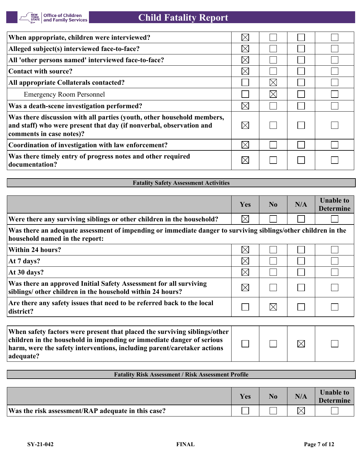| When appropriate, children were interviewed?                                                                                                                              | $\boxtimes$ |             |  |
|---------------------------------------------------------------------------------------------------------------------------------------------------------------------------|-------------|-------------|--|
| Alleged subject(s) interviewed face-to-face?                                                                                                                              | $\boxtimes$ |             |  |
| All 'other persons named' interviewed face-to-face?                                                                                                                       | $\times$    |             |  |
| Contact with source?                                                                                                                                                      | $\times$    |             |  |
| All appropriate Collaterals contacted?                                                                                                                                    |             | $\boxtimes$ |  |
| <b>Emergency Room Personnel</b>                                                                                                                                           |             | $\boxtimes$ |  |
| Was a death-scene investigation performed?                                                                                                                                | $\boxtimes$ |             |  |
| Was there discussion with all parties (youth, other household members,<br>and staff) who were present that day (if nonverbal, observation and<br>comments in case notes)? | $\boxtimes$ |             |  |
| Coordination of investigation with law enforcement?                                                                                                                       | $\boxtimes$ |             |  |
| Was there timely entry of progress notes and other required<br>documentation?                                                                                             | $\boxtimes$ |             |  |

| <b>Fatality Safety Assessment Activities</b>                                                                                                    |             |             |     |                                      |
|-------------------------------------------------------------------------------------------------------------------------------------------------|-------------|-------------|-----|--------------------------------------|
|                                                                                                                                                 |             |             |     |                                      |
|                                                                                                                                                 | Yes         | No          | N/A | <b>Unable to</b><br><b>Determine</b> |
| Were there any surviving siblings or other children in the household?                                                                           | $\boxtimes$ |             |     |                                      |
| Was there an adequate assessment of impending or immediate danger to surviving siblings/other children in the<br>household named in the report: |             |             |     |                                      |
| Within 24 hours?                                                                                                                                | $\boxtimes$ |             |     |                                      |
| At 7 days?                                                                                                                                      | $\boxtimes$ |             |     |                                      |
| At 30 days?                                                                                                                                     | $\boxtimes$ |             |     |                                      |
| Was there an approved Initial Safety Assessment for all surviving<br>siblings/ other children in the household within 24 hours?                 | $\boxtimes$ |             |     |                                      |
| Are there any safety issues that need to be referred back to the local<br>district?                                                             |             | $\boxtimes$ |     |                                      |
| When safety factors were present that placed the surviving siblings/other                                                                       |             |             |     |                                      |

| When safety factors were present that placed the surviving siblings/other |  |             |  |
|---------------------------------------------------------------------------|--|-------------|--|
| children in the household in impending or immediate danger of serious     |  | $\boxtimes$ |  |
| harm, were the safety interventions, including parent/caretaker actions   |  |             |  |
| adequate?                                                                 |  |             |  |

### **Fatality Risk Assessment / Risk Assessment Profile**

|                                                    | Yes | No. | N/A | <b>Unable to</b><br><b>Determine</b> |
|----------------------------------------------------|-----|-----|-----|--------------------------------------|
| Was the risk assessment/RAP adequate in this case? |     |     |     |                                      |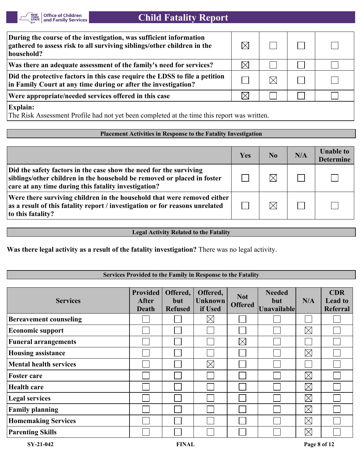

| During the course of the investigation, was sufficient information<br>gathered to assess risk to all surviving siblings/other children in the<br>household? |          |          |  |  |  |
|-------------------------------------------------------------------------------------------------------------------------------------------------------------|----------|----------|--|--|--|
| Was there an adequate assessment of the family's need for services?                                                                                         | $\times$ |          |  |  |  |
| Did the protective factors in this case require the LDSS to file a petition<br>in Family Court at any time during or after the investigation?               |          | $\times$ |  |  |  |
| Were appropriate/needed services offered in this case                                                                                                       | $\times$ |          |  |  |  |
| <b>Explain:</b><br>The Risk Assessment Profile had not yet been completed at the time this report was written.                                              |          |          |  |  |  |

### **Placement Activities in Response to the Fatality Investigation**

|                                                                                                                                                                                                       | Yes | N <sub>0</sub> | N/A | <b>Unable to</b><br><b>Determine</b> |
|-------------------------------------------------------------------------------------------------------------------------------------------------------------------------------------------------------|-----|----------------|-----|--------------------------------------|
| Did the safety factors in the case show the need for the surviving<br>siblings/other children in the household be removed or placed in foster<br>care at any time during this fatality investigation? |     | $\boxtimes$    |     |                                      |
| Were there surviving children in the household that were removed either<br>as a result of this fatality report / investigation or for reasons unrelated<br>to this fatality?                          |     | $\boxtimes$    |     |                                      |

### **Legal Activity Related to the Fatality**

**Was there legal activity as a result of the fatality investigation?** There was no legal activity.

### **Services Provided to the Family in Response to the Fatality**

| <b>Services</b>               | <b>Provided</b><br><b>After</b><br><b>Death</b> | Offered,<br>but<br><b>Refused</b> | Offered,<br><b>Unknown</b><br>if Used | <b>Not</b><br><b>Offered</b> | <b>Needed</b><br>but<br>Unavailable | N/A         | <b>CDR</b><br><b>Lead to</b><br><b>Referral</b> |
|-------------------------------|-------------------------------------------------|-----------------------------------|---------------------------------------|------------------------------|-------------------------------------|-------------|-------------------------------------------------|
| <b>Bereavement counseling</b> |                                                 |                                   | $\times$                              |                              |                                     |             |                                                 |
| <b>Economic support</b>       |                                                 |                                   |                                       |                              |                                     | $\boxtimes$ |                                                 |
| <b>Funeral arrangements</b>   |                                                 |                                   |                                       | $\boxtimes$                  |                                     |             |                                                 |
| <b>Housing assistance</b>     |                                                 |                                   |                                       |                              |                                     | $\boxtimes$ |                                                 |
| <b>Mental health services</b> |                                                 |                                   | $\times$                              |                              |                                     |             |                                                 |
| <b>Foster care</b>            |                                                 |                                   |                                       |                              |                                     | $\boxtimes$ |                                                 |
| <b>Health care</b>            |                                                 |                                   |                                       |                              |                                     | $\boxtimes$ |                                                 |
| <b>Legal services</b>         |                                                 |                                   |                                       |                              |                                     | $\boxtimes$ |                                                 |
| <b>Family planning</b>        |                                                 |                                   |                                       |                              |                                     | $\boxtimes$ |                                                 |
| <b>Homemaking Services</b>    |                                                 |                                   |                                       |                              |                                     | $\boxtimes$ |                                                 |
| <b>Parenting Skills</b>       |                                                 |                                   |                                       |                              |                                     | $\boxtimes$ |                                                 |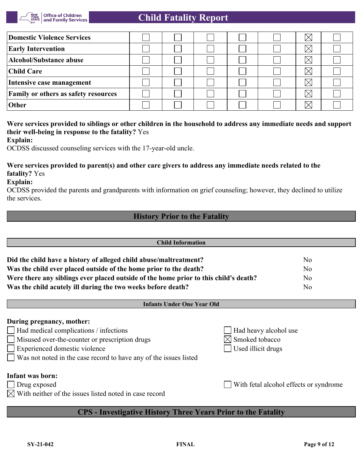

| Domestic Violence Services                  |  |  |  |  |
|---------------------------------------------|--|--|--|--|
| <b>Early Intervention</b>                   |  |  |  |  |
| Alcohol/Substance abuse                     |  |  |  |  |
| <b>Child Care</b>                           |  |  |  |  |
| Intensive case management                   |  |  |  |  |
| <b>Family or others as safety resources</b> |  |  |  |  |
| <b>Other</b>                                |  |  |  |  |

### **Were services provided to siblings or other children in the household to address any immediate needs and support their well-being in response to the fatality?** Yes

**Explain:**

OCDSS discussed counseling services with the 17-year-old uncle.

### **Were services provided to parent(s) and other care givers to address any immediate needs related to the fatality?** Yes

**Explain:**

OCDSS provided the parents and grandparents with information on grief counseling; however, they declined to utilize the services.

### **History Prior to the Fatality**

| <b>Child Information</b>                                                             |                |  |
|--------------------------------------------------------------------------------------|----------------|--|
|                                                                                      |                |  |
| Did the child have a history of alleged child abuse/maltreatment?                    | No             |  |
| Was the child ever placed outside of the home prior to the death?                    | N <sub>o</sub> |  |
| Were there any siblings ever placed outside of the home prior to this child's death? | No.            |  |
| Was the child acutely ill during the two weeks before death?                         | No             |  |
|                                                                                      |                |  |

### **Infants Under One Year Old**

### **During pregnancy, mother:**

Had medical complications / infections Had heavy alcohol use

- $\Box$  Misused over-the-counter or prescription drugs  $\Box$  Smoked tobacco
- Experienced domestic violence Used illicit drugs
- Was not noted in the case record to have any of the issues listed

### **Infant was born:**

- Drug exposed With fetal alcohol effects or syndrome
- $\boxtimes$  With neither of the issues listed noted in case record

## **CPS - Investigative History Three Years Prior to the Fatality**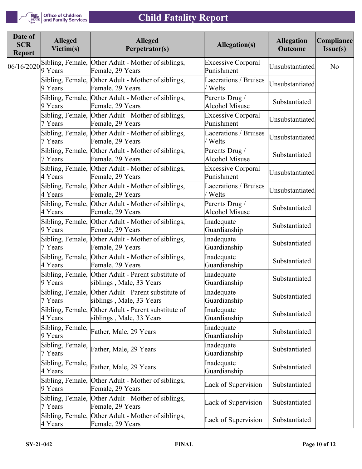

| <b>Alleged</b><br>Victim(s) | <b>Alleged</b><br>Perpetrator(s) | <b>Allegation(s)</b>                                                                                                                                                                                                                                                                                                                                                                                                                                                                                                                                                                                                                                                                                                                                                                                                                                                                                                                                                                                                                                                                                                                         | <b>Allegation</b><br><b>Outcome</b> | Compliance<br>Issue(s)                                                                                         |
|-----------------------------|----------------------------------|----------------------------------------------------------------------------------------------------------------------------------------------------------------------------------------------------------------------------------------------------------------------------------------------------------------------------------------------------------------------------------------------------------------------------------------------------------------------------------------------------------------------------------------------------------------------------------------------------------------------------------------------------------------------------------------------------------------------------------------------------------------------------------------------------------------------------------------------------------------------------------------------------------------------------------------------------------------------------------------------------------------------------------------------------------------------------------------------------------------------------------------------|-------------------------------------|----------------------------------------------------------------------------------------------------------------|
| 9 Years                     | Female, 29 Years                 | <b>Excessive Corporal</b><br>Punishment                                                                                                                                                                                                                                                                                                                                                                                                                                                                                                                                                                                                                                                                                                                                                                                                                                                                                                                                                                                                                                                                                                      |                                     | No                                                                                                             |
| 9 Years                     | Female, 29 Years                 | Lacerations / Bruises<br>Welts                                                                                                                                                                                                                                                                                                                                                                                                                                                                                                                                                                                                                                                                                                                                                                                                                                                                                                                                                                                                                                                                                                               |                                     |                                                                                                                |
| 9 Years                     | Female, 29 Years                 | Parents Drug /<br><b>Alcohol Misuse</b>                                                                                                                                                                                                                                                                                                                                                                                                                                                                                                                                                                                                                                                                                                                                                                                                                                                                                                                                                                                                                                                                                                      | Substantiated                       |                                                                                                                |
| 7 Years                     | Female, 29 Years                 | <b>Excessive Corporal</b><br>Punishment                                                                                                                                                                                                                                                                                                                                                                                                                                                                                                                                                                                                                                                                                                                                                                                                                                                                                                                                                                                                                                                                                                      |                                     |                                                                                                                |
| 7 Years                     | Female, 29 Years                 | Lacerations / Bruises<br>Welts                                                                                                                                                                                                                                                                                                                                                                                                                                                                                                                                                                                                                                                                                                                                                                                                                                                                                                                                                                                                                                                                                                               |                                     |                                                                                                                |
| 7 Years                     | Female, 29 Years                 | Parents Drug /<br><b>Alcohol Misuse</b>                                                                                                                                                                                                                                                                                                                                                                                                                                                                                                                                                                                                                                                                                                                                                                                                                                                                                                                                                                                                                                                                                                      | Substantiated                       |                                                                                                                |
| 4 Years                     | Female, 29 Years                 | <b>Excessive Corporal</b><br>Punishment                                                                                                                                                                                                                                                                                                                                                                                                                                                                                                                                                                                                                                                                                                                                                                                                                                                                                                                                                                                                                                                                                                      |                                     |                                                                                                                |
| 4 Years                     | Female, 29 Years                 | Lacerations / Bruises<br>Welts                                                                                                                                                                                                                                                                                                                                                                                                                                                                                                                                                                                                                                                                                                                                                                                                                                                                                                                                                                                                                                                                                                               |                                     |                                                                                                                |
| 4 Years                     | Female, 29 Years                 | Parents Drug /<br><b>Alcohol Misuse</b>                                                                                                                                                                                                                                                                                                                                                                                                                                                                                                                                                                                                                                                                                                                                                                                                                                                                                                                                                                                                                                                                                                      | Substantiated                       |                                                                                                                |
| 9 Years                     | Female, 29 Years                 | Inadequate<br>Guardianship                                                                                                                                                                                                                                                                                                                                                                                                                                                                                                                                                                                                                                                                                                                                                                                                                                                                                                                                                                                                                                                                                                                   | Substantiated                       |                                                                                                                |
| 7 Years                     | Female, 29 Years                 | Inadequate<br>Guardianship                                                                                                                                                                                                                                                                                                                                                                                                                                                                                                                                                                                                                                                                                                                                                                                                                                                                                                                                                                                                                                                                                                                   | Substantiated                       |                                                                                                                |
| 4 Years                     | Female, 29 Years                 | Inadequate<br>Guardianship                                                                                                                                                                                                                                                                                                                                                                                                                                                                                                                                                                                                                                                                                                                                                                                                                                                                                                                                                                                                                                                                                                                   | Substantiated                       |                                                                                                                |
| 9 Years                     | siblings, Male, 33 Years         | Inadequate<br>Guardianship                                                                                                                                                                                                                                                                                                                                                                                                                                                                                                                                                                                                                                                                                                                                                                                                                                                                                                                                                                                                                                                                                                                   | Substantiated                       |                                                                                                                |
| 7 Years                     | siblings, Male, 33 Years         | Inadequate<br>Guardianship                                                                                                                                                                                                                                                                                                                                                                                                                                                                                                                                                                                                                                                                                                                                                                                                                                                                                                                                                                                                                                                                                                                   | Substantiated                       |                                                                                                                |
| 4 Years                     | siblings, Male, 33 Years         | Inadequate<br>Guardianship                                                                                                                                                                                                                                                                                                                                                                                                                                                                                                                                                                                                                                                                                                                                                                                                                                                                                                                                                                                                                                                                                                                   | Substantiated                       |                                                                                                                |
| 9 Years                     |                                  | Inadequate<br>Guardianship                                                                                                                                                                                                                                                                                                                                                                                                                                                                                                                                                                                                                                                                                                                                                                                                                                                                                                                                                                                                                                                                                                                   | Substantiated                       |                                                                                                                |
| 7 Years                     |                                  | Inadequate<br>Guardianship                                                                                                                                                                                                                                                                                                                                                                                                                                                                                                                                                                                                                                                                                                                                                                                                                                                                                                                                                                                                                                                                                                                   | Substantiated                       |                                                                                                                |
| 4 Years                     |                                  | Inadequate<br>Guardianship                                                                                                                                                                                                                                                                                                                                                                                                                                                                                                                                                                                                                                                                                                                                                                                                                                                                                                                                                                                                                                                                                                                   | Substantiated                       |                                                                                                                |
| 9 Years                     | Female, 29 Years                 | Lack of Supervision                                                                                                                                                                                                                                                                                                                                                                                                                                                                                                                                                                                                                                                                                                                                                                                                                                                                                                                                                                                                                                                                                                                          | Substantiated                       |                                                                                                                |
| 7 Years                     | Female, 29 Years                 | Lack of Supervision                                                                                                                                                                                                                                                                                                                                                                                                                                                                                                                                                                                                                                                                                                                                                                                                                                                                                                                                                                                                                                                                                                                          | Substantiated                       |                                                                                                                |
| 4 Years                     | Female, 29 Years                 | Lack of Supervision                                                                                                                                                                                                                                                                                                                                                                                                                                                                                                                                                                                                                                                                                                                                                                                                                                                                                                                                                                                                                                                                                                                          | Substantiated                       |                                                                                                                |
|                             |                                  | Sibling, Female, Other Adult - Mother of siblings,<br>Sibling, Female, Other Adult - Mother of siblings,<br>Sibling, Female, Other Adult - Mother of siblings,<br>Sibling, Female, Other Adult - Mother of siblings,<br>Sibling, Female, Other Adult - Mother of siblings,<br>Sibling, Female, Other Adult - Mother of siblings,<br>Sibling, Female, Other Adult - Mother of siblings,<br>Sibling, Female, Other Adult - Mother of siblings,<br>Sibling, Female, Other Adult - Mother of siblings,<br>Sibling, Female, Other Adult - Mother of siblings,<br>Sibling, Female, Other Adult - Mother of siblings,<br>Sibling, Female, Other Adult - Mother of siblings,<br>Sibling, Female, Other Adult - Parent substitute of<br>Sibling, Female, Other Adult - Parent substitute of<br>Sibling, Female, Other Adult - Parent substitute of<br>Sibling, Female, Father, Male, 29 Years<br>Sibling, Female, Father, Male, 29 Years<br>Sibling, Female, Father, Male, 29 Years<br>Sibling, Female, Other Adult - Mother of siblings,<br>Sibling, Female, Other Adult - Mother of siblings,<br>Sibling, Female, Other Adult - Mother of siblings, |                                     | Unsubstantiated<br>Unsubstantiated<br>Unsubstantiated<br>Unsubstantiated<br>Unsubstantiated<br>Unsubstantiated |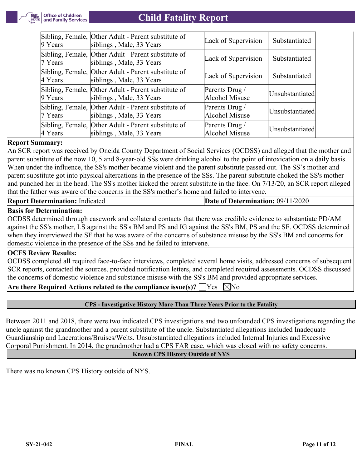

| $9$ Years       | Sibling, Female, Other Adult - Parent substitute of<br>siblings, Male, 33 Years | Lack of Supervision              | Substantiated   |
|-----------------|---------------------------------------------------------------------------------|----------------------------------|-----------------|
| $7$ Years       | Sibling, Female, Other Adult - Parent substitute of<br>siblings, Male, 33 Years | Lack of Supervision              | Substantiated   |
| $\vert$ 4 Years | Sibling, Female, Other Adult - Parent substitute of<br>siblings, Male, 33 Years | Lack of Supervision              | Substantiated   |
| $9$ Years       | Sibling, Female, Other Adult - Parent substitute of<br>siblings, Male, 33 Years | Parents Drug /<br>Alcohol Misuse | Unsubstantiated |
| $7$ Years       | Sibling, Female, Other Adult - Parent substitute of<br>siblings, Male, 33 Years | Parents Drug /<br>Alcohol Misuse | Unsubstantiated |
| 4 Years         | Sibling, Female, Other Adult - Parent substitute of<br>siblings, Male, 33 Years | Parents Drug /<br>Alcohol Misuse | Unsubstantiated |

### **Report Summary:**

An SCR report was received by Oneida County Department of Social Services (OCDSS) and alleged that the mother and parent substitute of the now 10, 5 and 8-year-old SSs were drinking alcohol to the point of intoxication on a daily basis. When under the influence, the SS's mother became violent and the parent substitute passed out. The SS's mother and parent substitute got into physical altercations in the presence of the SSs. The parent substitute choked the SS's mother and punched her in the head. The SS's mother kicked the parent substitute in the face. On 7/13/20, an SCR report alleged that the father was aware of the concerns in the SS's mother's home and failed to intervene.

| <b>Report Determination: Indicated</b> | Date of Determination: $09/11/2020$ |
|----------------------------------------|-------------------------------------|
|----------------------------------------|-------------------------------------|

### **Basis for Determination:**

OCDSS determined through casework and collateral contacts that there was credible evidence to substantiate PD/AM against the SS's mother, LS against the SS's BM and PS and IG against the SS's BM, PS and the SF. OCDSS determined when they interviewed the SF that he was aware of the concerns of substance misuse by the SS's BM and concerns for domestic violence in the presence of the SSs and he failed to intervene.

### **OCFS Review Results:**

OCDSS completed all required face-to-face interviews, completed several home visits, addressed concerns of subsequent SCR reports, contacted the sources, provided notification letters, and completed required assessments. OCDSS discussed the concerns of domestic violence and substance misuse with the SS's BM and provided appropriate services.

**Are there Required Actions related to the compliance issue(s)?**  $\Box$  Yes  $\Box$  No

### **CPS - Investigative History More Than Three Years Prior to the Fatality**

Between 2011 and 2018, there were two indicated CPS investigations and two unfounded CPS investigations regarding the uncle against the grandmother and a parent substitute of the uncle. Substantiated allegations included Inadequate Guardianship and Lacerations/Bruises/Welts. Unsubstantiated allegations included Internal Injuries and Excessive Corporal Punishment. In 2014, the grandmother had a CPS FAR case, which was closed with no safety concerns.

### **Known CPS History Outside of NYS**

There was no known CPS History outside of NYS.